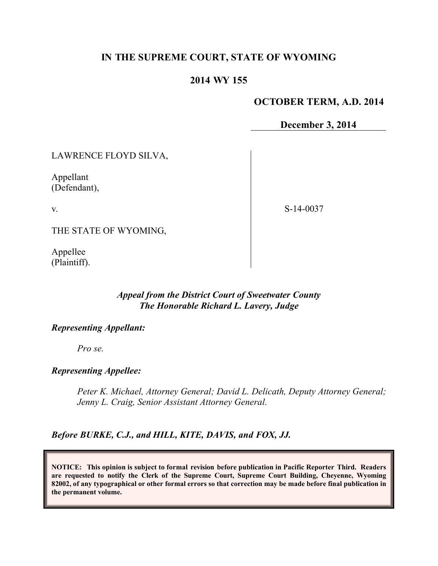# **IN THE SUPREME COURT, STATE OF WYOMING**

# **2014 WY 155**

### **OCTOBER TERM, A.D. 2014**

**December 3, 2014**

LAWRENCE FLOYD SILVA,

Appellant (Defendant),

v.

S-14-0037

THE STATE OF WYOMING,

Appellee (Plaintiff).

# *Appeal from the District Court of Sweetwater County The Honorable Richard L. Lavery, Judge*

#### *Representing Appellant:*

*Pro se.*

#### *Representing Appellee:*

*Peter K. Michael, Attorney General; David L. Delicath, Deputy Attorney General; Jenny L. Craig, Senior Assistant Attorney General.*

*Before BURKE, C.J., and HILL, KITE, DAVIS, and FOX, JJ.*

**NOTICE: This opinion is subject to formal revision before publication in Pacific Reporter Third. Readers are requested to notify the Clerk of the Supreme Court, Supreme Court Building, Cheyenne, Wyoming 82002, of any typographical or other formal errors so that correction may be made before final publication in the permanent volume.**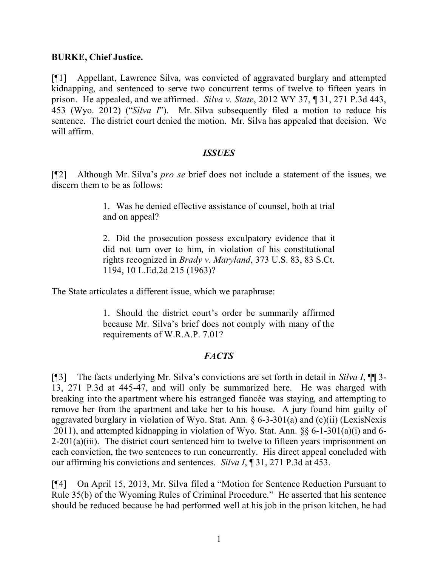## **BURKE, Chief Justice.**

[¶1] Appellant, Lawrence Silva, was convicted of aggravated burglary and attempted kidnapping, and sentenced to serve two concurrent terms of twelve to fifteen years in prison. He appealed, and we affirmed. *Silva v. State*, 2012 WY 37, ¶ 31, 271 P.3d 443, 453 (Wyo. 2012) ("*Silva I*"). Mr. Silva subsequently filed a motion to reduce his sentence. The district court denied the motion. Mr. Silva has appealed that decision. We will affirm.

### *ISSUES*

[¶2] Although Mr. Silva's *pro se* brief does not include a statement of the issues, we discern them to be as follows:

> 1. Was he denied effective assistance of counsel, both at trial and on appeal?

> 2. Did the prosecution possess exculpatory evidence that it did not turn over to him, in violation of his constitutional rights recognized in *Brady v. Maryland*, 373 U.S. 83, 83 S.Ct. 1194, 10 L.Ed.2d 215 (1963)?

The State articulates a different issue, which we paraphrase:

1. Should the district court's order be summarily affirmed because Mr. Silva's brief does not comply with many of the requirements of W.R.A.P. 7.01?

# *FACTS*

[¶3] The facts underlying Mr. Silva's convictions are set forth in detail in *Silva I*, ¶¶ 3- 13, 271 P.3d at 445-47, and will only be summarized here. He was charged with breaking into the apartment where his estranged fiancée was staying, and attempting to remove her from the apartment and take her to his house. A jury found him guilty of aggravated burglary in violation of Wyo. Stat. Ann.  $\S 6-3-301(a)$  and (c)(ii) (LexisNexis 2011), and attempted kidnapping in violation of Wyo. Stat. Ann. §§ 6-1-301(a)(i) and 6-  $2\n-201(a)(iii)$ . The district court sentenced him to twelve to fifteen years imprisonment on each conviction, the two sentences to run concurrently. His direct appeal concluded with our affirming his convictions and sentences. *Silva I*, ¶ 31, 271 P.3d at 453.

[¶4] On April 15, 2013, Mr. Silva filed a "Motion for Sentence Reduction Pursuant to Rule 35(b) of the Wyoming Rules of Criminal Procedure." He asserted that his sentence should be reduced because he had performed well at his job in the prison kitchen, he had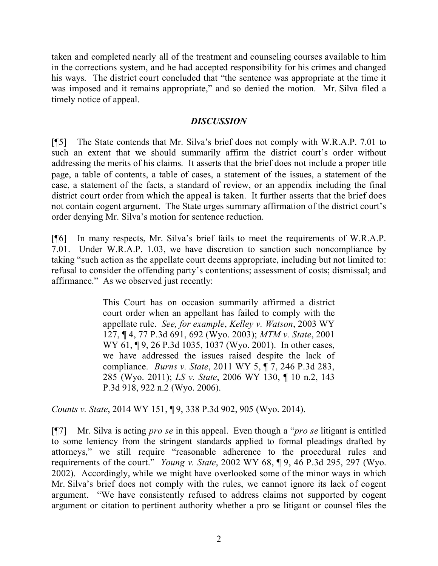taken and completed nearly all of the treatment and counseling courses available to him in the corrections system, and he had accepted responsibility for his crimes and changed his ways. The district court concluded that "the sentence was appropriate at the time it was imposed and it remains appropriate," and so denied the motion. Mr. Silva filed a timely notice of appeal.

# *DISCUSSION*

[¶5] The State contends that Mr. Silva's brief does not comply with W.R.A.P. 7.01 to such an extent that we should summarily affirm the district court's order without addressing the merits of his claims. It asserts that the brief does not include a proper title page, a table of contents, a table of cases, a statement of the issues, a statement of the case, a statement of the facts, a standard of review, or an appendix including the final district court order from which the appeal is taken. It further asserts that the brief does not contain cogent argument. The State urges summary affirmation of the district court's order denying Mr. Silva's motion for sentence reduction.

[¶6] In many respects, Mr. Silva's brief fails to meet the requirements of W.R.A.P. 7.01. Under W.R.A.P. 1.03, we have discretion to sanction such noncompliance by taking "such action as the appellate court deems appropriate, including but not limited to: refusal to consider the offending party's contentions; assessment of costs; dismissal; and affirmance." As we observed just recently:

> This Court has on occasion summarily affirmed a district court order when an appellant has failed to comply with the appellate rule. *See, for example*, *Kelley v. Watson*, 2003 WY 127, ¶ 4, 77 P.3d 691, 692 (Wyo. 2003); *MTM v. State*, 2001 WY 61, ¶9, 26 P.3d 1035, 1037 (Wyo. 2001). In other cases, we have addressed the issues raised despite the lack of compliance. *Burns v. State*, 2011 WY 5, ¶ 7, 246 P.3d 283, 285 (Wyo. 2011); *LS v. State*, 2006 WY 130, ¶ 10 n.2, 143 P.3d 918, 922 n.2 (Wyo. 2006).

*Counts v. State*, 2014 WY 151, ¶ 9, 338 P.3d 902, 905 (Wyo. 2014).

[¶7] Mr. Silva is acting *pro se* in this appeal. Even though a "*pro se* litigant is entitled to some leniency from the stringent standards applied to formal pleadings drafted by attorneys," we still require "reasonable adherence to the procedural rules and requirements of the court." *Young v. State*, 2002 WY 68, ¶ 9, 46 P.3d 295, 297 (Wyo. 2002). Accordingly, while we might have overlooked some of the minor ways in which Mr. Silva's brief does not comply with the rules, we cannot ignore its lack of cogent argument. "We have consistently refused to address claims not supported by cogent argument or citation to pertinent authority whether a pro se litigant or counsel files the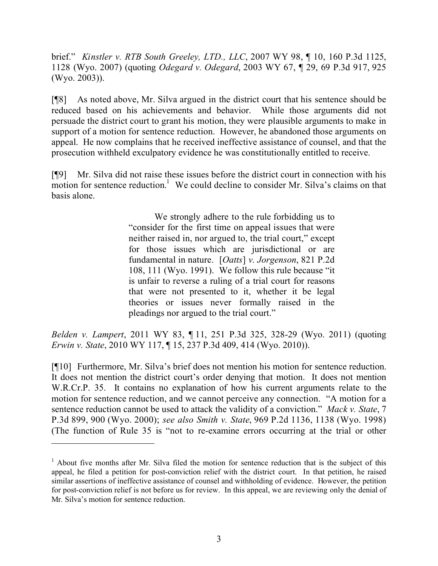brief." *Kinstler v. RTB South Greeley, LTD., LLC*, 2007 WY 98, ¶ 10, 160 P.3d 1125, 1128 (Wyo. 2007) (quoting *Odegard v. Odegard*, 2003 WY 67, ¶ 29, 69 P.3d 917, 925 (Wyo. 2003)).

[¶8] As noted above, Mr. Silva argued in the district court that his sentence should be reduced based on his achievements and behavior. While those arguments did not persuade the district court to grant his motion, they were plausible arguments to make in support of a motion for sentence reduction. However, he abandoned those arguments on appeal. He now complains that he received ineffective assistance of counsel, and that the prosecution withheld exculpatory evidence he was constitutionally entitled to receive.

[¶9] Mr. Silva did not raise these issues before the district court in connection with his  $m$  motion for sentence reduction.<sup>1</sup> We could decline to consider Mr. Silva's claims on that basis alone.

> We strongly adhere to the rule forbidding us to "consider for the first time on appeal issues that were neither raised in, nor argued to, the trial court," except for those issues which are jurisdictional or are fundamental in nature. [*Oatts*] *v. Jorgenson*, 821 P.2d 108, 111 (Wyo. 1991). We follow this rule because "it is unfair to reverse a ruling of a trial court for reasons that were not presented to it, whether it be legal theories or issues never formally raised in the pleadings nor argued to the trial court."

*Belden v. Lampert*, 2011 WY 83, ¶ 11, 251 P.3d 325, 328-29 (Wyo. 2011) (quoting *Erwin v. State*, 2010 WY 117, ¶ 15, 237 P.3d 409, 414 (Wyo. 2010)).

[¶10] Furthermore, Mr. Silva's brief does not mention his motion for sentence reduction. It does not mention the district court's order denying that motion. It does not mention W.R.Cr.P. 35. It contains no explanation of how his current arguments relate to the motion for sentence reduction, and we cannot perceive any connection. "A motion for a sentence reduction cannot be used to attack the validity of a conviction." *Mack v. State*, 7 P.3d 899, 900 (Wyo. 2000); *see also Smith v. State*, 969 P.2d 1136, 1138 (Wyo. 1998) (The function of Rule 35 is "not to re-examine errors occurring at the trial or other

 $1$  About five months after Mr. Silva filed the motion for sentence reduction that is the subject of this appeal, he filed a petition for post-conviction relief with the district court. In that petition, he raised similar assertions of ineffective assistance of counsel and withholding of evidence. However, the petition for post-conviction relief is not before us for review. In this appeal, we are reviewing only the denial of Mr. Silva's motion for sentence reduction.